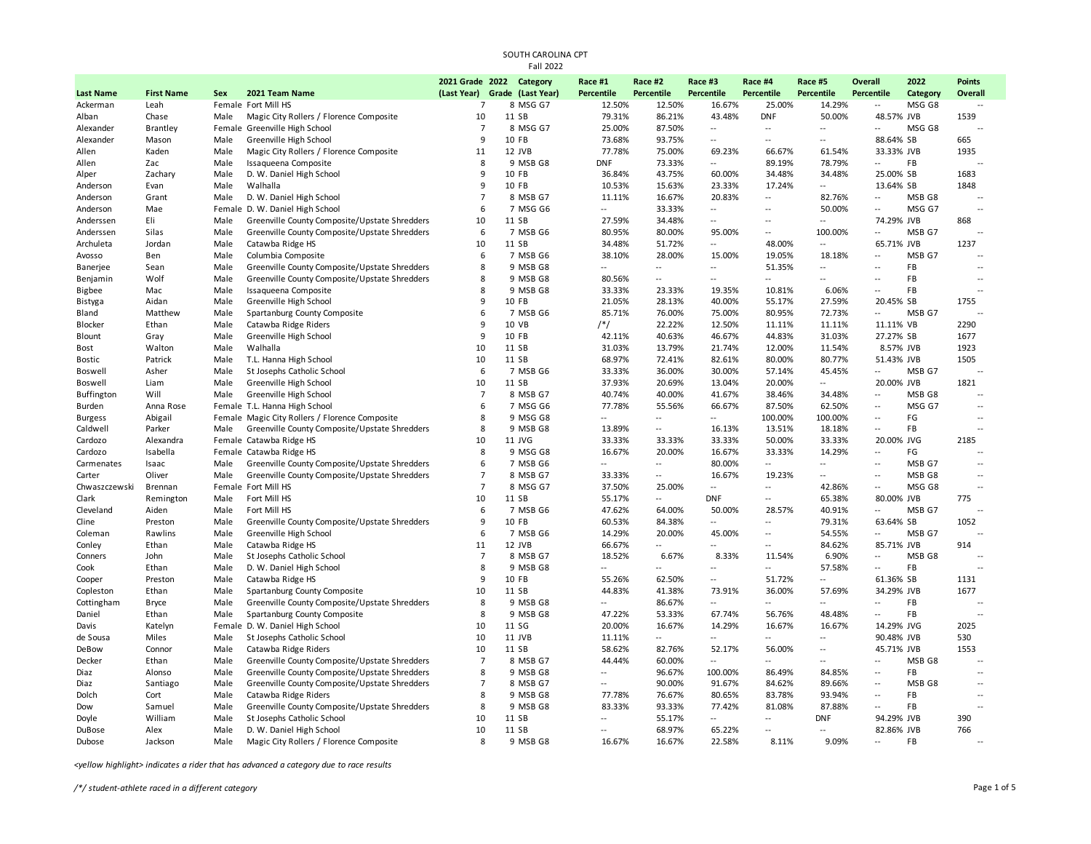|                  |                   |      |                                                | 2021 Grade 2022               |        | Category | Race #1                  | Race #2                  | Race #3                  | Race #4                  | Race #5                  | Overall                   | 2022              | Points                   |
|------------------|-------------------|------|------------------------------------------------|-------------------------------|--------|----------|--------------------------|--------------------------|--------------------------|--------------------------|--------------------------|---------------------------|-------------------|--------------------------|
| <b>Last Name</b> | <b>First Name</b> | Sex  | 2021 Team Name                                 | (Last Year) Grade (Last Year) |        |          | Percentile               | Percentile               | <b>Percentile</b>        | Percentile               | Percentile               | Percentile                | Category          | Overall                  |
| Ackerman         | Leah              |      | Female Fort Mill HS                            | $\overline{7}$                |        | 8 MSG G7 | 12.50%                   | 12.50%                   | 16.67%                   | 25.00%                   | 14.29%                   | $\overline{a}$            | MSG G8            |                          |
| Alban            | Chase             | Male | Magic City Rollers / Florence Composite        | 10                            | 11 SB  |          | 79.31%                   | 86.21%                   | 43.48%                   | <b>DNF</b>               | 50.00%                   | 48.57% JVB                |                   | 1539                     |
| Alexander        | <b>Brantley</b>   |      | Female Greenville High School                  | $\overline{7}$                |        | 8 MSG G7 | 25.00%                   | 87.50%                   | $\overline{\phantom{a}}$ | $\sim$                   | $\sim$                   | $\sim$                    | MSG G8            | $\sim$                   |
| Alexander        | Mason             | Male | Greenville High School                         | $\mathbf{q}$                  | 10 FB  |          | 73.68%                   | 93.75%                   | $\overline{\phantom{a}}$ | $\overline{a}$           | $-$                      | 88.64% SB                 |                   | 665                      |
| Allen            | Kaden             | Male | Magic City Rollers / Florence Composite        | 11                            | 12 JVB |          | 77.78%                   | 75.00%                   | 69.23%                   | 66.67%                   | 61.54%                   | 33.33% JVB                |                   | 1935                     |
| Allen            | Zac               | Male | Issaqueena Composite                           | 8                             |        | 9 MSB G8 | <b>DNF</b>               | 73.33%                   | $\overline{a}$           | 89.19%                   | 78.79%                   | $\sim$                    | FB                |                          |
| Alper            | Zachary           | Male | D. W. Daniel High School                       | 9                             | 10 FB  |          | 36.84%                   | 43.75%                   | 60.00%                   | 34.48%                   | 34.48%                   | 25.00% SB                 |                   | 1683                     |
| Anderson         | Evan              | Male | Walhalla                                       | 9                             | 10 FB  |          | 10.53%                   | 15.63%                   | 23.33%                   | 17.24%                   | $\overline{\phantom{a}}$ | 13.64% SB                 |                   | 1848                     |
| Anderson         | Grant             | Male | D. W. Daniel High School                       | $\overline{7}$                |        | 8 MSB G7 | 11.11%                   | 16.67%                   | 20.83%                   | ÷.                       | 82.76%                   | $\overline{\phantom{a}}$  | MSB <sub>G8</sub> | ÷.                       |
| Anderson         | Mae               |      | Female D. W. Daniel High School                | 6                             |        | 7 MSG G6 | $\overline{a}$           | 33.33%                   | $\overline{\phantom{a}}$ | Ξ.                       | 50.00%                   | $\overline{a}$            | MSG G7            | ÷.                       |
| Anderssen        | Eli               | Male | Greenville County Composite/Upstate Shredders  | 10                            | 11 SB  |          | 27.59%                   | 34.48%                   | $\overline{\phantom{a}}$ | $\overline{a}$           | $\overline{a}$           | 74.29% JVB                |                   | 868                      |
| Anderssen        | Silas             | Male | Greenville County Composite/Upstate Shredders  | 6                             |        | 7 MSB G6 | 80.95%                   | 80.00%                   | 95.00%                   | Ξ.                       | 100.00%                  | $\overline{\phantom{a}}$  | MSB G7            | ÷.                       |
| Archuleta        | Jordan            | Male | Catawba Ridge HS                               | 10                            | 11 SB  |          | 34.48%                   | 51.72%                   | $\overline{a}$           | 48.00%                   | $\overline{\phantom{a}}$ | 65.71% JVB                |                   | 1237                     |
| Avosso           | Ben               | Male | Columbia Composite                             | 6                             |        | 7 MSB G6 | 38.10%                   | 28.00%                   | 15.00%                   | 19.05%                   | 18.18%                   | $\overline{\phantom{a}}$  | MSB G7            |                          |
| Banerjee         | Sean              | Male | Greenville County Composite/Upstate Shredders  | 8                             |        | 9 MSB G8 | $-$                      | $\sim$                   | $\overline{\phantom{a}}$ | 51.35%                   | $\overline{\phantom{a}}$ | $\overline{\phantom{a}}$  | FB                | $\ddotsc$                |
| Benjamin         | Wolf              | Male | Greenville County Composite/Upstate Shredders  | 8                             |        | 9 MSB G8 | 80.56%                   | $\overline{\phantom{a}}$ | Ξ.                       | $\overline{\phantom{a}}$ | $\sim$                   | $\overline{\phantom{a}}$  | FB                | $\ddotsc$                |
| <b>Bigbee</b>    | Mac               | Male | Issaqueena Composite                           | 8                             |        | 9 MSB G8 | 33.33%                   | 23.33%                   | 19.35%                   | 10.81%                   | 6.06%                    | $\overline{a}$            | FB                | $\sim$                   |
| Bistyga          | Aidan             | Male | Greenville High School                         | 9                             | 10 FB  |          | 21.05%                   | 28.13%                   | 40.00%                   | 55.17%                   | 27.59%                   | 20.45% SB                 |                   | 1755                     |
| Bland            | Matthew           | Male | Spartanburg County Composite                   | 6                             |        | 7 MSB G6 | 85.71%                   | 76.00%                   | 75.00%                   | 80.95%                   | 72.73%                   | $\mathbb{L}^{\mathbb{L}}$ | MSB G7            | $\overline{\phantom{a}}$ |
| Blocker          | Ethan             | Male | Catawba Ridge Riders                           | 9                             | 10 VB  |          | $/*/$                    | 22.22%                   | 12.50%                   | 11.11%                   | 11.11%                   | 11.11% VB                 |                   | 2290                     |
| Blount           | Gray              | Male | Greenville High School                         | 9                             | 10 FB  |          | 42.11%                   | 40.63%                   | 46.67%                   | 44.83%                   | 31.03%                   | 27.27% SB                 |                   | 1677                     |
| Bost             | Walton            | Male | Walhalla                                       | 10                            | 11 SB  |          | 31.03%                   | 13.79%                   | 21.74%                   | 12.00%                   | 11.54%                   |                           | 8.57% JVB         | 1923                     |
| <b>Bostic</b>    | Patrick           | Male | T.L. Hanna High School                         | 10                            | 11 SB  |          | 68.97%                   | 72.41%                   | 82.61%                   | 80.00%                   | 80.77%                   | 51.43% JVB                |                   | 1505                     |
| Boswell          | Asher             | Male | St Josephs Catholic School                     | 6                             |        | 7 MSB G6 | 33.33%                   | 36.00%                   | 30.00%                   | 57.14%                   | 45.45%                   | $\overline{\phantom{a}}$  | MSB G7            |                          |
| Boswell          | Liam              | Male | Greenville High School                         | 10                            | 11 SB  |          | 37.93%                   | 20.69%                   | 13.04%                   | 20.00%                   | $\overline{\phantom{a}}$ | 20.00% JVB                |                   | 1821                     |
| Buffington       | Will              | Male | Greenville High School                         | $\overline{7}$                |        | 8 MSB G7 | 40.74%                   | 40.00%                   | 41.67%                   | 38.46%                   | 34.48%                   | $\overline{\phantom{a}}$  | MSB G8            |                          |
| Burden           | Anna Rose         |      | Female T.L. Hanna High School                  | 6                             |        | 7 MSG G6 | 77.78%                   | 55.56%                   | 66.67%                   | 87.50%                   | 62.50%                   | $\overline{\phantom{a}}$  | MSG G7            | $\sim$                   |
| <b>Burgess</b>   | Abigail           |      | Female Magic City Rollers / Florence Composite | 8                             |        | 9 MSG G8 | $\overline{a}$           | $\overline{\phantom{a}}$ | $\overline{\phantom{a}}$ | 100.00%                  | 100.00%                  | $\overline{\phantom{a}}$  | FG                | $\ddotsc$                |
| Caldwell         | Parker            | Male | Greenville County Composite/Upstate Shredders  | 8                             |        | 9 MSB G8 | 13.89%                   | $\sim$                   | 16.13%                   | 13.51%                   | 18.18%                   | $\sim$                    | FB                | $\sim$                   |
| Cardozo          | Alexandra         |      | Female Catawba Ridge HS                        | 10                            | 11 JVG |          | 33.33%                   | 33.33%                   | 33.33%                   | 50.00%                   | 33.33%                   | 20.00% JVG                |                   | 2185                     |
| Cardozo          | Isabella          |      | Female Catawba Ridge HS                        | 8                             |        | 9 MSG G8 | 16.67%                   | 20.00%                   | 16.67%                   | 33.33%                   | 14.29%                   | $\overline{a}$            | FG                |                          |
| Carmenates       | Isaac             | Male | Greenville County Composite/Upstate Shredders  | 6                             |        | 7 MSB G6 | $\overline{a}$           | $\sim$                   | 80.00%                   | --                       | --                       | $\sim$                    | MSB G7            | $\ddotsc$                |
| Carter           | Oliver            | Male | Greenville County Composite/Upstate Shredders  | $\overline{7}$                |        | 8 MSB G7 | 33.33%                   | $\overline{\phantom{a}}$ | 16.67%                   | 19.23%                   | $\sim$                   | $\sim$                    | MSB G8            | $\ddotsc$                |
| Chwaszczewski    | Brennan           |      | Female Fort Mill HS                            | $\overline{7}$                |        | 8 MSG G7 | 37.50%                   | 25.00%                   | $\ddotsc$                | Ξ.                       | 42.86%                   | $\overline{\phantom{a}}$  | MSG G8            | $\sim$                   |
| Clark            | Remington         | Male | Fort Mill HS                                   | 10                            | 11 SB  |          | 55.17%                   | $\sim$                   | <b>DNF</b>               | ÷.                       | 65.38%                   | 80.00% JVB                |                   | 775                      |
| Cleveland        | Aiden             | Male | Fort Mill HS                                   | 6                             |        | 7 MSB G6 | 47.62%                   | 64.00%                   | 50.00%                   | 28.57%                   | 40.91%                   | $\mathbb{L}^{\mathbb{L}}$ | MSB G7            | $\ddotsc$                |
| Cline            | Preston           | Male | Greenville County Composite/Upstate Shredders  | 9                             | 10 FB  |          | 60.53%                   | 84.38%                   | $\sim$                   | Ξ.                       | 79.31%                   | 63.64% SB                 |                   | 1052                     |
| Coleman          | Rawlins           | Male | Greenville High School                         | 6                             |        | 7 MSB G6 | 14.29%                   | 20.00%                   | 45.00%                   | Ξ.                       | 54.55%                   | $\overline{\phantom{a}}$  | MSB G7            |                          |
| Conley           | Ethan             | Male | Catawba Ridge HS                               | 11                            | 12 JVB |          | 66.67%                   | $\sim$                   | $\sim$                   | Ξ.                       | 84.62%                   | 85.71% JVB                |                   | 914                      |
| Conners          | John              | Male | St Josephs Catholic School                     | $\overline{7}$                |        | 8 MSB G7 | 18.52%                   | 6.67%                    | 8.33%                    | 11.54%                   | 6.90%                    | $\overline{\phantom{a}}$  | MSB G8            | $\ddotsc$                |
| Cook             | Ethan             | Male | D. W. Daniel High School                       | 8                             |        | 9 MSB G8 |                          | $\overline{\phantom{a}}$ | $\sim$                   | $\overline{\phantom{a}}$ | 57.58%                   | $\sim$                    | FB                | $\ddotsc$                |
| Cooper           | Preston           | Male | Catawba Ridge HS                               | 9                             | 10 FB  |          | 55.26%                   | 62.50%                   | $\ddotsc$                | 51.72%                   | --                       | 61.36% SB                 |                   | 1131                     |
| Copleston        | Ethan             | Male | Spartanburg County Composite                   | 10                            | 11 SB  |          | 44.83%                   | 41.38%                   | 73.91%                   | 36.00%                   | 57.69%                   | 34.29% JVB                |                   | 1677                     |
| Cottingham       | <b>Bryce</b>      | Male | Greenville County Composite/Upstate Shredders  | 8                             |        | 9 MSB G8 | $\overline{\phantom{a}}$ | 86.67%                   | $\sim$                   | --                       | $\overline{a}$           | $\overline{a}$            | <b>FB</b>         | $\overline{a}$           |
| Daniel           | Ethan             | Male | Spartanburg County Composite                   | 8                             |        | 9 MSB G8 | 47.22%                   | 53.33%                   | 67.74%                   | 56.76%                   | 48.48%                   | $\overline{a}$            | FB                | $\sim$                   |
| Davis            | Katelyn           |      | Female D. W. Daniel High School                | 10                            | 11 SG  |          | 20.00%                   | 16.67%                   | 14.29%                   | 16.67%                   | 16.67%                   | 14.29% JVG                |                   | 2025                     |
| de Sousa         | Miles             | Male | St Josephs Catholic School                     | 10                            | 11 JVB |          | 11.11%                   | $\sim$                   | $\sim$                   | $\overline{a}$           | $\sim$                   | 90.48% JVB                |                   | 530                      |
| DeBow            | Connor            | Male | Catawba Ridge Riders                           | 10                            | 11 SB  |          | 58.62%                   | 82.76%                   | 52.17%                   | 56.00%                   | $\overline{\phantom{a}}$ | 45.71% JVB                |                   | 1553                     |
| Decker           | Ethan             | Male | Greenville County Composite/Upstate Shredders  | $\overline{7}$                |        | 8 MSB G7 | 44.44%                   | 60.00%                   | $\sim$                   | ÷.                       | $\overline{a}$           | $\overline{\phantom{a}}$  | MSB G8            |                          |
| Diaz             | Alonso            | Male | Greenville County Composite/Upstate Shredders  | 8                             |        | 9 MSB G8 | Ξ.                       | 96.67%                   | 100.00%                  | 86.49%                   | 84.85%                   | $\overline{\phantom{a}}$  | <b>FB</b>         | $\ddotsc$                |
| Diaz             | Santiago          | Male | Greenville County Composite/Upstate Shredders  | $\overline{7}$                |        | 8 MSB G7 | Ξ.                       | 90.00%                   | 91.67%                   | 84.62%                   | 89.66%                   | $\sim$                    | MSB G8            | $\ddotsc$                |
| Dolch            | Cort              | Male | Catawba Ridge Riders                           | 8                             |        | 9 MSB G8 | 77.78%                   | 76.67%                   | 80.65%                   | 83.78%                   | 93.94%                   | $\overline{\phantom{a}}$  | <b>FB</b>         | $\sim$                   |
| Dow              | Samuel            | Male | Greenville County Composite/Upstate Shredders  | 8                             |        | 9 MSB G8 | 83.33%                   | 93.33%                   | 77.42%                   | 81.08%                   | 87.88%                   | $\sim$                    | FB                | ÷.                       |
| Doyle            | William           | Male | St Josephs Catholic School                     | 10                            | 11 SB  |          | Ξ.                       | 55.17%                   | $\overline{\phantom{a}}$ | Щ.                       | <b>DNF</b>               | 94.29% JVB                |                   | 390                      |
| DuBose           | Alex              | Male | D. W. Daniel High School                       | 10                            | 11 SB  |          | $\overline{a}$           | 68.97%                   | 65.22%                   | Ξ.                       | $\sim$                   | 82.86% JVB                |                   | 766                      |
| Dubose           | Jackson           | Male | Magic City Rollers / Florence Composite        | 8                             |        | 9 MSB G8 | 16.67%                   | 16.67%                   | 22.58%                   | 8.11%                    | 9.09%                    | $\sim$                    | FB                | $\overline{a}$           |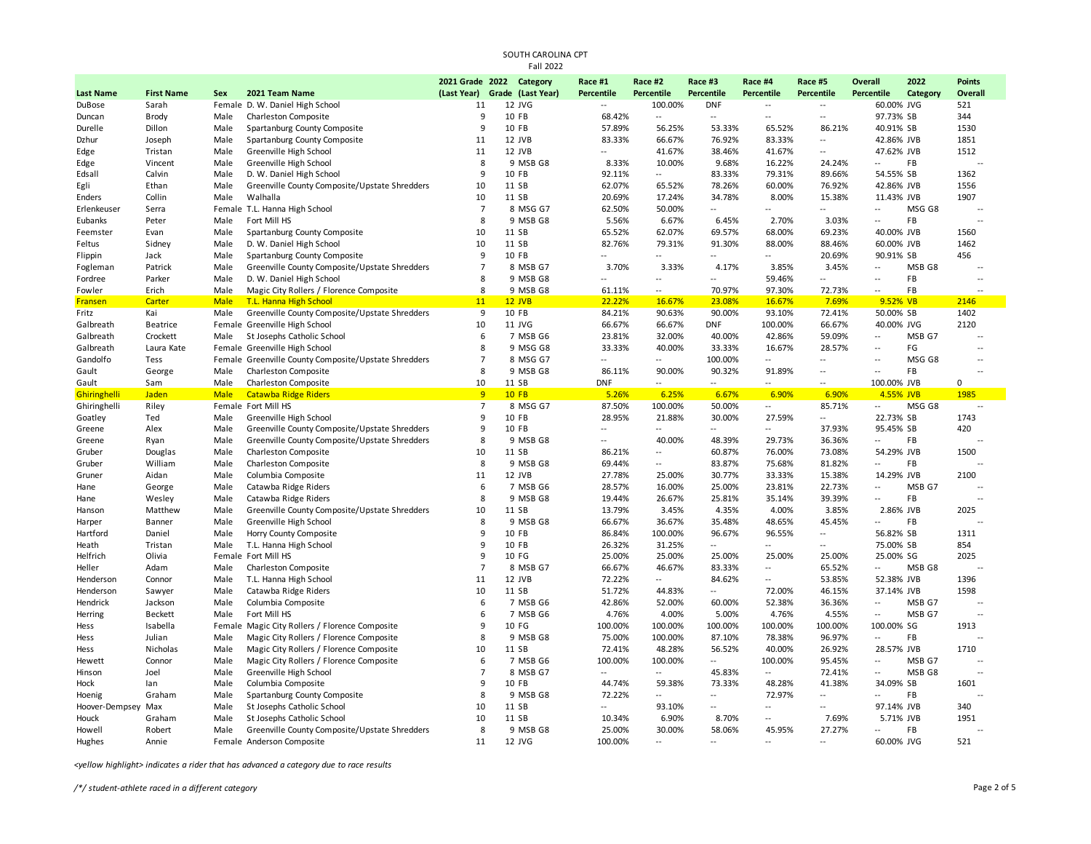|                  |                   |             |                                                      | 2021 Grade 2022               | Category | Race #1                  | Race #2        | Race #3                  | Race #4                   | Race #5                  | Overall                  | 2022     | <b>Points</b>            |
|------------------|-------------------|-------------|------------------------------------------------------|-------------------------------|----------|--------------------------|----------------|--------------------------|---------------------------|--------------------------|--------------------------|----------|--------------------------|
| <b>Last Name</b> | <b>First Name</b> | Sex         | 2021 Team Name                                       | (Last Year) Grade (Last Year) |          | Percentile               | Percentile     | Percentile               | Percentile                | <b>Percentile</b>        | Percentile               | Category | Overall                  |
| DuBose           | Sarah             |             | Female D. W. Daniel High School                      | 11                            | 12 JVG   | Ξ.                       | 100.00%        | <b>DNF</b>               | $\overline{a}$            | $\overline{\phantom{a}}$ | 60.00% JVG               |          | 521                      |
| Duncan           | <b>Brody</b>      | Male        | Charleston Composite                                 | 9                             | 10 FB    | 68.42%                   | ÷.             | $\overline{\phantom{a}}$ | $\overline{a}$            | $\overline{\phantom{a}}$ | 97.73% SB                |          | 344                      |
| Durelle          | Dillon            | Male        | Spartanburg County Composite                         | 9                             | 10 FB    | 57.89%                   | 56.25%         | 53.33%                   | 65.52%                    | 86.21%                   | 40.91% SB                |          | 1530                     |
| Dzhur            | Joseph            | Male        | Spartanburg County Composite                         | 11                            | 12 JVB   | 83.33%                   | 66.67%         | 76.92%                   | 83.33%                    | $\overline{\phantom{a}}$ | 42.86% JVB               |          | 1851                     |
| Edge             | Tristan           | Male        | Greenville High School                               | 11                            | 12 JVB   | $\overline{a}$           | 41.67%         | 38.46%                   | 41.67%                    | $\overline{a}$           | 47.62% JVB               |          | 1512                     |
| Edge             | Vincent           | Male        | Greenville High School                               | 8                             | 9 MSB G8 | 8.33%                    | 10.00%         | 9.68%                    | 16.22%                    | 24.24%                   | $\sim$                   | FB       |                          |
| Edsall           | Calvin            | Male        | D. W. Daniel High School                             | 9                             | 10 FB    | 92.11%                   | щ.             | 83.33%                   | 79.31%                    | 89.66%                   | 54.55% SB                |          | 1362                     |
| Egli             | Ethan             | Male        | Greenville County Composite/Upstate Shredders        | 10                            | 11 SB    | 62.07%                   | 65.52%         | 78.26%                   | 60.00%                    | 76.92%                   | 42.86% JVB               |          | 1556                     |
| Enders           | Collin            | Male        | Walhalla                                             | 10                            | 11 SB    | 20.69%                   | 17.24%         | 34.78%                   | 8.00%                     | 15.38%                   | 11.43% JVB               |          | 1907                     |
| Erlenkeuser      | Serra             |             | Female T.L. Hanna High School                        | $\overline{7}$                | 8 MSG G7 | 62.50%                   | 50.00%         | $\overline{a}$           |                           | $\overline{a}$           | $\overline{\phantom{a}}$ | MSG G8   |                          |
| Eubanks          | Peter             | Male        | Fort Mill HS                                         | 8                             | 9 MSB G8 | 5.56%                    | 6.67%          | 6.45%                    | 2.70%                     | 3.03%                    | $\mathbb{L}$             | FB       | $\sim$ $\sim$            |
| Feemster         | Evan              | Male        | Spartanburg County Composite                         | 10                            | 11 SB    | 65.52%                   | 62.07%         | 69.57%                   | 68.00%                    | 69.23%                   | 40.00% JVB               |          | 1560                     |
| Feltus           | Sidney            | Male        | D. W. Daniel High School                             | 10                            | 11 SB    | 82.76%                   | 79.31%         | 91.30%                   | 88.00%                    | 88.46%                   | 60.00% JVB               |          | 1462                     |
| Flippin          | Jack              | Male        | Spartanburg County Composite                         | 9                             | 10 FB    |                          | ÷.             | u.                       | $\overline{a}$            | 20.69%                   | 90.91% SB                |          | 456                      |
| Fogleman         | Patrick           | Male        | Greenville County Composite/Upstate Shredders        | $\overline{7}$                | 8 MSB G7 | 3.70%                    | 3.33%          | 4.17%                    | 3.85%                     | 3.45%                    | $\overline{\phantom{a}}$ | MSB G8   | $\overline{\phantom{a}}$ |
| Fordree          | Parker            | Male        | D. W. Daniel High School                             | 8                             | 9 MSB G8 | Ξ.                       | $\overline{a}$ | $\overline{a}$           | 59.46%                    | $\overline{a}$           | $\overline{\phantom{a}}$ | FB       | $\overline{\phantom{a}}$ |
| Fowler           | Erich             | Male        | Magic City Rollers / Florence Composite              | 8                             | 9 MSB G8 | 61.11%                   | щ.             | 70.97%                   | 97.30%                    | 72.73%                   | $\overline{\phantom{a}}$ | FB       |                          |
| <b>Fransen</b>   | Carter            | <b>Male</b> | T.L. Hanna High School                               | 11                            | 12 JVB   | 22.22%                   | 16.67%         | 23.08%                   | 16.67%                    | 7.69%                    | 9.52% VB                 |          | 2146                     |
| Fritz            | Kai               | Male        | Greenville County Composite/Upstate Shredders        | 9                             | 10 FB    | 84.21%                   | 90.63%         | 90.00%                   | 93.10%                    | 72.41%                   | 50.00% SB                |          | 1402                     |
| Galbreath        | Beatrice          |             | Female Greenville High School                        | 10                            | 11 JVG   | 66.67%                   | 66.67%         | <b>DNF</b>               | 100.00%                   | 66.67%                   | 40.00% JVG               |          | 2120                     |
| Galbreath        | Crockett          | Male        | St Josephs Catholic School                           | 6                             | 7 MSB G6 | 23.81%                   | 32.00%         | 40.00%                   | 42.86%                    | 59.09%                   | $\sim$                   | MSB G7   | $\sim$                   |
| Galbreath        | Laura Kate        |             | Female Greenville High School                        | 8                             | 9 MSG G8 | 33.33%                   | 40.00%         | 33.33%                   | 16.67%                    | 28.57%                   | $\sim$                   | FG       | $\sim$ $\sim$            |
| Gandolfo         | Tess              |             | Female Greenville County Composite/Upstate Shredders | $\overline{7}$                | 8 MSG G7 | $\sim$                   |                | 100.00%                  | $\overline{\phantom{a}}$  | ÷.                       | $\overline{\phantom{a}}$ | MSG G8   | $\overline{a}$           |
| Gault            | George            | Male        | Charleston Composite                                 | 8                             | 9 MSB G8 | 86.11%                   | 90.00%         | 90.32%                   | 91.89%                    | Ξ.                       | $\overline{\phantom{a}}$ | FB       |                          |
| Gault            | Sam               | Male        | Charleston Composite                                 | 10                            | 11 SB    | <b>DNF</b>               | щ.             | $\overline{\phantom{a}}$ | $\overline{\phantom{a}}$  | $\overline{a}$           | 100.00% JVB              |          | $\Omega$                 |
| Ghiringhelli     | Jaden             | <b>Male</b> | <b>Catawba Ridge Riders</b>                          | 9                             | $10$ FB  | 5.26%                    | 6.25%          | 6.67%                    | 6.90%                     | 6.90%                    | 4.55% JVB                |          | 1985                     |
| Ghiringhelli     | Riley             |             | Female Fort Mill HS                                  | $\overline{7}$                | 8 MSG G7 | 87.50%                   | 100.00%        | 50.00%                   | $\sim$                    | 85.71%                   | $\overline{\phantom{a}}$ | MSG G8   | $\overline{a}$           |
| Goatley          | Ted               | Male        | Greenville High School                               | 9                             | 10 FB    | 28.95%                   | 21.88%         | 30.00%                   | 27.59%                    | ÷.                       | 22.73% SB                |          | 1743                     |
| Greene           | Alex              | Male        | Greenville County Composite/Upstate Shredders        | 9                             | 10 FB    | $\sim$                   | $\overline{a}$ | $\overline{a}$           | $\sim$                    | 37.93%                   | 95.45% SB                |          | 420                      |
| Greene           | Ryan              | Male        | Greenville County Composite/Upstate Shredders        | 8                             | 9 MSB G8 | $\sim$                   | 40.00%         | 48.39%                   | 29.73%                    | 36.36%                   | $\overline{\phantom{a}}$ | FB       |                          |
| Gruber           | Douglas           | Male        | Charleston Composite                                 | 10                            | 11 SB    | 86.21%                   | щ.             | 60.87%                   | 76.00%                    | 73.08%                   | 54.29% JVB               |          | 1500                     |
| Gruber           | William           | Male        | Charleston Composite                                 | 8                             | 9 MSB G8 | 69.44%                   |                | 83.87%                   | 75.68%                    | 81.82%                   | $\sim$                   | FB       |                          |
| Gruner           | Aidan             | Male        | Columbia Composite                                   | 11                            | 12 JVB   | 27.78%                   | 25.00%         | 30.77%                   | 33.33%                    | 15.38%                   | 14.29% JVB               |          | 2100                     |
| Hane             | George            | Male        | Catawba Ridge Riders                                 | 6                             | 7 MSB G6 | 28.57%                   | 16.00%         | 25.00%                   | 23.81%                    | 22.73%                   | $\overline{\phantom{a}}$ | MSB G7   | $\overline{a}$           |
| Hane             | Wesley            | Male        | Catawba Ridge Riders                                 | 8                             | 9 MSB G8 | 19.44%                   | 26.67%         | 25.81%                   | 35.14%                    | 39.39%                   | $\sim$                   | FB       | $\overline{\phantom{a}}$ |
| Hanson           | Matthew           | Male        | Greenville County Composite/Upstate Shredders        | 10                            | 11 SB    | 13.79%                   | 3.45%          | 4.35%                    | 4.00%                     | 3.85%                    | 2.86% JVB                |          | 2025                     |
| Harper           | Banner            | Male        | Greenville High School                               | 8                             | 9 MSB G8 | 66.67%                   | 36.67%         | 35.48%                   | 48.65%                    | 45.45%                   | $\overline{\phantom{a}}$ | FB       |                          |
| Hartford         | Daniel            | Male        | Horry County Composite                               | 9                             | 10 FB    | 86.84%                   | 100.00%        | 96.67%                   | 96.55%                    | $\overline{a}$           | 56.82% SB                |          | 1311                     |
| Heath            | Tristan           | Male        | T.L. Hanna High School                               | 9                             | 10 FB    | 26.32%                   | 31.25%         | $\overline{\phantom{a}}$ | $\sim$                    | $\overline{a}$           | 75.00% SB                |          | 854                      |
| Helfrich         | Olivia            |             | Female Fort Mill HS                                  | $\mathbf{q}$                  | 10 FG    | 25.00%                   | 25.00%         | 25.00%                   | 25.00%                    | 25.00%                   | 25.00% SG                |          | 2025                     |
| Heller           | Adam              | Male        | Charleston Composite                                 | $\overline{7}$                | 8 MSB G7 | 66.67%                   | 46.67%         | 83.33%                   | $\overline{\phantom{a}}$  | 65.52%                   | $\overline{\phantom{a}}$ | MSB G8   |                          |
| Henderson        | Connor            | Male        | T.L. Hanna High School                               | 11                            | 12 JVB   | 72.22%                   | щ.             | 84.62%                   | $\overline{\phantom{a}}$  | 53.85%                   | 52.38% JVB               |          | 1396                     |
| Henderson        | Sawyer            | Male        | Catawba Ridge Riders                                 | 10                            | 11 SB    | 51.72%                   | 44.83%         | $\overline{\phantom{a}}$ | 72.00%                    | 46.15%                   | 37.14% JVB               |          | 1598                     |
| Hendrick         | Jackson           | Male        | Columbia Composite                                   | 6                             | 7 MSB G6 | 42.86%                   | 52.00%         | 60.00%                   | 52.38%                    | 36.36%                   | $\sim$                   | MSB G7   | $\overline{a}$           |
| Herring          | <b>Beckett</b>    | Male        | Fort Mill HS                                         | 6                             | 7 MSB G6 | 4.76%                    | 4.00%          | 5.00%                    | 4.76%                     | 4.55%                    | $\sim$                   | MSB G7   | $\sim$                   |
| Hess             | Isabella          |             | Female Magic City Rollers / Florence Composite       | 9                             | 10 FG    | 100.00%                  | 100.00%        | 100.00%                  | 100.00%                   | 100.00%                  | 100.00% SG               |          | 1913                     |
| Hess             | Julian            | Male        | Magic City Rollers / Florence Composite              | 8                             | 9 MSB G8 | 75.00%                   | 100.00%        | 87.10%                   | 78.38%                    | 96.97%                   | $\sim$                   | FB       |                          |
| Hess             | Nicholas          | Male        | Magic City Rollers / Florence Composite              | 10                            | 11 SB    | 72.41%                   | 48.28%         | 56.52%                   | 40.00%                    | 26.92%                   | 28.57% JVB               |          | 1710                     |
| Hewett           | Connor            | Male        | Magic City Rollers / Florence Composite              | 6                             | 7 MSB G6 | 100.00%                  | 100.00%        | $\overline{a}$           | 100.00%                   | 95.45%                   | $\overline{\phantom{a}}$ | MSB G7   |                          |
| Hinson           | Joel              | Male        | Greenville High School                               | $\overline{7}$                | 8 MSB G7 | $\mathbb{L}$             | Щ.             | 45.83%                   | $\mathbb{Z}^{\mathbb{Z}}$ | 72.41%                   | $\overline{\phantom{a}}$ | MSB G8   | $\sim$                   |
| Hock             | lan               | Male        | Columbia Composite                                   | q                             | 10 FB    | 44.74%                   | 59.38%         | 73.33%                   | 48.28%                    | 41.38%                   | 34.09% SB                |          | 1601                     |
| Hoenig           | Graham            | Male        | Spartanburg County Composite                         | 8                             | 9 MSB G8 | 72.22%                   | ÷.             | $\overline{\phantom{a}}$ | 72.97%                    | ÷.                       | $\sim$                   | FB       |                          |
| Hoover-Dempsey   | Max               | Male        | St Josephs Catholic School                           | 10                            | 11 SB    | $\overline{\phantom{a}}$ | 93.10%         | ÷.                       | $\overline{\phantom{a}}$  | $\overline{a}$           | 97.14% JVB               |          | 340                      |
| Houck            | Graham            | Male        | St Josephs Catholic School                           | 10                            | 11 SB    | 10.34%                   | 6.90%          | 8.70%                    | $\overline{\phantom{a}}$  | 7.69%                    | 5.71% JVB                |          | 1951                     |
| Howell           | Robert            | Male        | Greenville County Composite/Upstate Shredders        | 8                             | 9 MSB G8 | 25.00%                   | 30.00%         | 58.06%                   | 45.95%                    | 27.27%                   | $\overline{\phantom{a}}$ | FB       |                          |
| Hughes           | Annie             |             | Female Anderson Composite                            | 11                            | 12 JVG   | 100.00%                  | ÷.             | $\overline{a}$           | $\sim$ $\sim$             | $\overline{a}$           | 60.00% JVG               |          | 521                      |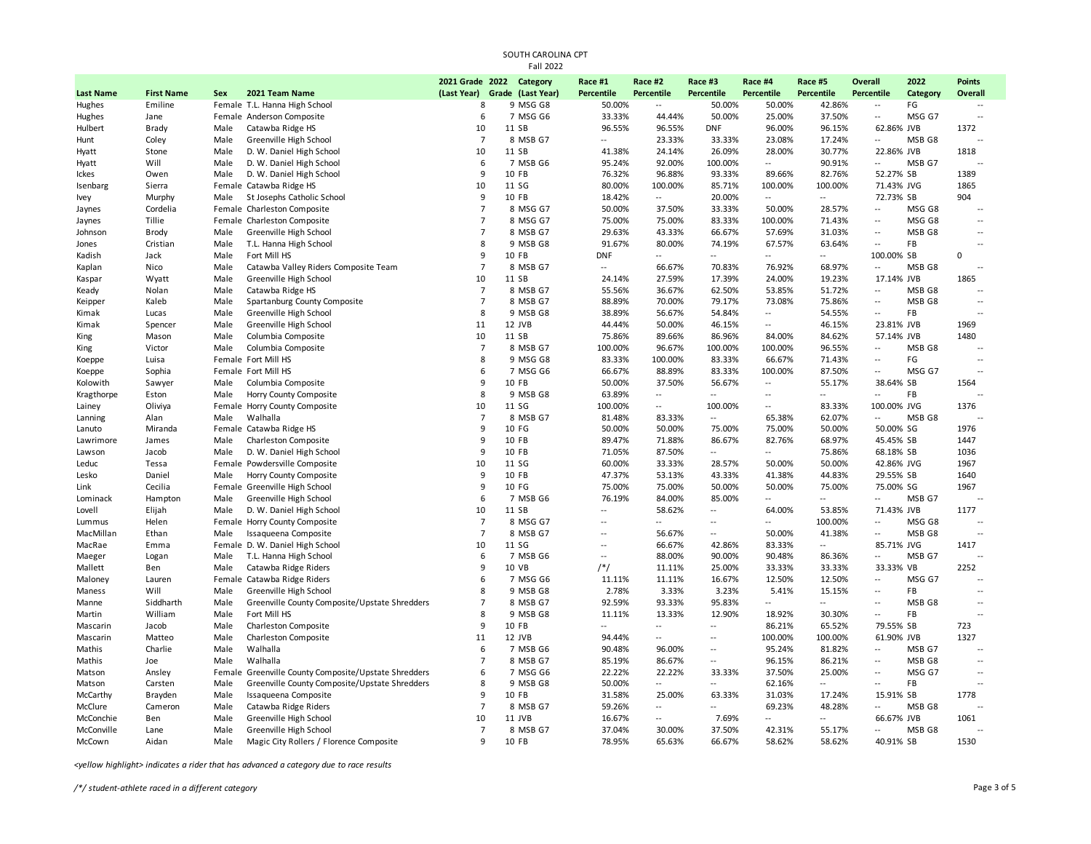|                            | SOUTH CAROLINA CPT<br><b>Fall 2022</b> |        |                                                 |                          |  |                               |                          |                                               |                          |                          |                          |                                               |                |                                     |
|----------------------------|----------------------------------------|--------|-------------------------------------------------|--------------------------|--|-------------------------------|--------------------------|-----------------------------------------------|--------------------------|--------------------------|--------------------------|-----------------------------------------------|----------------|-------------------------------------|
|                            |                                        |        |                                                 | 2021 Grade 2022 Category |  |                               | Race #1                  | Race #2                                       | Race #3                  | Race #4                  | Race #5                  | Overall                                       | 2022           | <b>Points</b>                       |
| <b>Last Name</b><br>Hughes | <b>First Name</b><br>Emiline           | Sex    | 2021 Team Name<br>Female T.L. Hanna High School | (Last Year)<br>8         |  | Grade (Last Year)<br>9 MSG G8 | Percentile<br>50.00%     | <b>Percentile</b><br>$\overline{\phantom{a}}$ | Percentile<br>50.00%     | Percentile<br>50.00%     | Percentile<br>42.86%     | <b>Percentile</b><br>$\overline{\phantom{a}}$ | Category<br>FG | Overall<br>$\overline{\phantom{a}}$ |
| Hughes                     | Jane                                   |        | Female Anderson Composite                       | 6                        |  | 7 MSG G6                      | 33.33%                   | 44.44%                                        | 50.00%                   | 25.00%                   | 37.50%                   | $\sim$                                        | MSG G7         | $\ddotsc$                           |
| Hulbert                    | Brady                                  | Male   | Catawba Ridge HS                                | 10                       |  | 11 SB                         | 96.55%                   | 96.55%                                        | <b>DNF</b>               | 96.00%                   | 96.15%                   | 62.86% JVB                                    |                | 1372                                |
| Hunt                       | Coley                                  | Male   | Greenville High School                          | $\overline{7}$           |  | 8 MSB G7                      | $\overline{\phantom{a}}$ | 23.33%                                        | 33.33%                   | 23.08%                   | 17.24%                   | $\sim$                                        | MSB G8         |                                     |
| Hyatt                      | Stone                                  | Male   | D. W. Daniel High School                        | 10                       |  | 11 SB                         | 41.38%                   | 24.14%                                        | 26.09%                   | 28.00%                   | 30.77%                   | 22.86% JVB                                    |                | 1818                                |
| Hyatt                      | Will                                   | Male   | D. W. Daniel High School                        | 6                        |  | 7 MSB G6                      | 95.24%                   | 92.00%                                        | 100.00%                  | $\overline{a}$           | 90.91%                   | $\sim$                                        | MSB G7         |                                     |
| Ickes                      | Owen                                   | Male   | D. W. Daniel High School                        | 9                        |  | 10 FB                         | 76.32%                   | 96.88%                                        | 93.33%                   | 89.66%                   | 82.76%                   | 52.27% SB                                     |                | 1389                                |
| Isenbarg                   | Sierra                                 |        | Female Catawba Ridge HS                         | 10                       |  | 11 SG                         | 80.00%                   | 100.00%                                       | 85.71%                   | 100.00%                  | 100.00%                  | 71.43% JVG                                    |                | 1865                                |
| Ivey                       | Murphy                                 | Male   | St Josephs Catholic School                      | 9                        |  | 10 FB                         | 18.42%                   | $\overline{\phantom{a}}$                      | 20.00%                   | $\overline{a}$           | $\overline{\phantom{a}}$ | 72.73% SB                                     |                | 904                                 |
| Jaynes                     | Cordelia                               |        | Female Charleston Composite                     | $\overline{7}$           |  | 8 MSG G7                      | 50.00%                   | 37.50%                                        | 33.33%                   | 50.00%                   | 28.57%                   | $\overline{a}$                                | MSG G8         | $\overline{a}$                      |
| Jaynes                     | Tillie                                 |        | Female Charleston Composite                     | $\overline{7}$           |  | 8 MSG G7                      | 75.00%                   | 75.00%                                        | 83.33%                   | 100.00%                  | 71.43%                   | $\overline{\phantom{a}}$                      | MSG G8         | $\overline{a}$                      |
| Johnson                    | Brody                                  | Male   | Greenville High School                          | $\overline{7}$           |  | 8 MSB G7                      | 29.63%                   | 43.33%                                        | 66.67%                   | 57.69%                   | 31.03%                   |                                               | MSB G8         | $\sim$                              |
| Jones                      | Cristian                               | Male   | T.L. Hanna High School                          | 8                        |  | 9 MSB G8                      | 91.67%                   | 80.00%                                        | 74.19%                   | 67.57%                   | 63.64%                   | $\sim$                                        | FB             |                                     |
| Kadish                     | Jack                                   | Male   | Fort Mill HS                                    | 9                        |  | 10 FB                         | <b>DNF</b>               | $\sim$                                        | $\ddot{\phantom{a}}$     | Ц.                       | $\overline{\phantom{a}}$ | 100.00% SB                                    |                | 0                                   |
| Kaplan                     | Nico                                   | Male   | Catawba Valley Riders Composite Team            | $\overline{7}$           |  | 8 MSB G7                      | $\overline{\phantom{a}}$ | 66.67%                                        | 70.83%                   | 76.92%                   | 68.97%                   |                                               | MSB G8         | $\overline{a}$                      |
| Kaspar                     | Wyatt                                  | Male   | Greenville High School                          | 10                       |  | 11 SB                         | 24.14%                   | 27.59%                                        | 17.39%                   | 24.00%                   | 19.23%                   | 17.14% JVB                                    |                | 1865                                |
| Keady                      | Nolan                                  | Male   | Catawba Ridge HS                                | $\overline{7}$           |  | 8 MSB G7                      | 55.56%                   | 36.67%                                        | 62.50%                   | 53.85%                   | 51.72%                   | $\overline{a}$                                | MSB G8         |                                     |
| Keipper                    | Kaleb                                  | Male   | Spartanburg County Composite                    | $\overline{7}$           |  | 8 MSB G7                      | 88.89%                   | 70.00%                                        | 79.17%                   | 73.08%                   | 75.86%                   | $\overline{\phantom{a}}$                      | MSB G8         | $\ddotsc$                           |
| Kimak                      | Lucas                                  | Male   | Greenville High School                          | 8                        |  | 9 MSB G8                      | 38.89%                   | 56.67%                                        | 54.84%                   | --                       | 54.55%                   |                                               | FB             | $\ddotsc$                           |
| Kimak                      | Spencer                                | Male   | Greenville High School                          | 11                       |  | 12 JVB                        | 44.44%                   | 50.00%                                        | 46.15%                   | Ξ.                       | 46.15%                   | 23.81% JVB                                    |                | 1969                                |
| King                       | Mason                                  | Male   | Columbia Composite                              | 10                       |  | 11 SB                         | 75.86%                   | 89.66%                                        | 86.96%                   | 84.00%                   | 84.62%                   | 57.14% JVB                                    |                | 1480                                |
| King                       | Victor                                 | Male   | Columbia Composite                              | $\overline{7}$           |  | 8 MSB G7                      | 100.00%                  | 96.67%                                        | 100.00%                  | 100.00%                  | 96.55%                   | $\overline{\phantom{a}}$                      | MSB G8         |                                     |
| Koeppe                     | Luisa                                  |        | Female Fort Mill HS                             | 8                        |  | 9 MSG G8                      | 83.33%                   | 100.00%                                       | 83.33%                   | 66.67%                   | 71.43%                   | $\overline{\phantom{a}}$                      | FG             | $\ddotsc$                           |
| Koeppe                     | Sophia                                 |        | Female Fort Mill HS                             | 6                        |  | 7 MSG G6                      | 66.67%                   | 88.89%                                        | 83.33%                   | 100.00%                  | 87.50%                   | $\overline{a}$                                | MSG G7         | $\sim$                              |
| Kolowith                   | Sawyer                                 | Male   | Columbia Composite                              | 9                        |  | 10 FB                         | 50.00%                   | 37.50%                                        | 56.67%                   | $\overline{\phantom{a}}$ | 55.17%                   | 38.64% SB                                     |                | 1564                                |
| Kragthorpe                 | Eston                                  | Male   | Horry County Composite                          | 8                        |  | 9 MSB G8                      | 63.89%                   | $\overline{\phantom{a}}$                      | $\sim$                   | Ξ.                       | $\sim$                   | $\sim$                                        | FB             |                                     |
| Lainey                     | Oliviya                                |        | Female Horry County Composite                   | 10                       |  | 11 SG                         | 100.00%                  | $\sim$                                        | 100.00%                  | --                       | 83.33%                   | 100.00% JVG                                   |                | 1376                                |
| Lanning                    | Alan                                   | Male   | Walhalla                                        | $\overline{7}$           |  | 8 MSB G7                      | 81.48%                   | 83.33%                                        |                          | 65.38%                   | 62.07%                   | $\overline{\phantom{a}}$                      | MSB G8         |                                     |
| Lanuto                     | Miranda                                |        | Female Catawba Ridge HS                         | 9                        |  | 10 FG                         | 50.00%                   | 50.00%                                        | 75.00%                   | 75.00%                   | 50.00%                   | 50.00% SG                                     |                | 1976                                |
| Lawrimore                  | James                                  | Male   | Charleston Composite                            | 9                        |  | 10 FB                         | 89.47%                   | 71.88%                                        | 86.67%                   | 82.76%                   | 68.97%                   | 45.45% SB                                     |                | 1447                                |
| Lawson                     | Jacob                                  | Male   | D. W. Daniel High School                        | 9                        |  | 10 FB                         | 71.05%                   | 87.50%                                        | $\overline{\phantom{a}}$ | $\overline{a}$           | 75.86%                   | 68.18% SB                                     |                | 1036                                |
| Leduc                      | Tessa                                  |        | Female Powdersville Composite                   | 10                       |  | 11 SG                         | 60.00%                   | 33.33%                                        | 28.57%                   | 50.00%                   | 50.00%                   | 42.86% JVG                                    |                | 1967                                |
| Lesko                      | Daniel                                 | Male   | Horry County Composite                          | 9                        |  | 10 FB                         | 47.37%                   | 53.13%                                        | 43.33%                   | 41.38%                   | 44.83%                   | 29.55% SB                                     |                | 1640                                |
| Link                       | Cecilia                                |        | Female Greenville High School                   | 9                        |  | 10 FG                         | 75.00%                   | 75.00%                                        | 50.00%                   | 50.00%                   | 75.00%                   | 75.00% SG                                     |                | 1967                                |
| Lominack                   | Hampton                                | Male   | Greenville High School                          | 6                        |  | 7 MSB G6                      | 76.19%                   | 84.00%                                        | 85.00%                   | $\overline{\phantom{a}}$ | $\overline{a}$           | $\overline{a}$                                | MSB G7         | $\sim$                              |
| Lovell                     | Elijah                                 | Male   | D. W. Daniel High School                        | 10                       |  | 11 SB                         | $\overline{\phantom{a}}$ | 58.62%                                        | $\sim$                   | 64.00%                   | 53.85%                   | 71.43% JVB                                    |                | 1177                                |
| Lummus                     | Helen                                  |        | Female Horry County Composite                   | $\overline{7}$           |  | 8 MSG G7                      | $\sim$                   | $\sim$                                        | $\sim$                   | $\overline{\phantom{a}}$ | 100.00%                  | $\overline{a}$                                | MSG G8         | $\sim$                              |
| MacMillan                  | Ethan                                  | Male   | Issaqueena Composite                            | $\overline{7}$           |  | 8 MSB G7                      | $\overline{\phantom{a}}$ | 56.67%                                        | $\sim$                   | 50.00%                   | 41.38%                   | $\overline{a}$                                | MSB G8         | $\sim$                              |
| MacRae                     | Emma                                   |        | Female D. W. Daniel High School                 | 10                       |  | 11 SG                         | $\sim$                   | 66.67%                                        | 42.86%                   | 83.33%                   | Щ.                       | 85.71% JVG                                    |                | 1417                                |
| Maeger                     | Logan                                  | Male   | T.L. Hanna High School                          | 6                        |  | 7 MSB G6                      | $\overline{\phantom{a}}$ | 88.00%                                        | 90.00%                   | 90.48%                   | 86.36%                   | $\overline{\phantom{a}}$                      | MSB G7         | $\overline{a}$                      |
| Mallett                    | Ben                                    | Male   | Catawba Ridge Riders                            | 9                        |  | 10 VB                         | $/*/$                    | 11.11%                                        | 25.00%                   | 33.33%                   | 33.33%                   | 33.33% VB                                     |                | 2252                                |
| Maloney                    | Lauren                                 |        | Female Catawba Ridge Riders                     | 6                        |  | 7 MSG G6                      | 11.11%                   | 11.11%                                        | 16.67%                   | 12.50%                   | 12.50%                   | $\overline{\phantom{a}}$                      | MSG G7         | $\sim$                              |
| Maness                     | Will                                   | Male   | Greenville High School                          | 8                        |  | 9 MSB G8                      | 2.78%                    | 3.33%                                         | 3.23%                    | 5.41%                    | 15.15%                   | $\overline{\phantom{a}}$                      | <b>FB</b>      | $\sim$                              |
| Manne                      | Siddharth                              | Male   | Greenville County Composite/Upstate Shredders   | $\overline{7}$           |  | 8 MSB G7                      | 92.59%                   | 93.33%                                        | 95.83%                   | ш.                       | $\overline{\phantom{a}}$ | Ξ.                                            | MSB G8         | $\ddotsc$                           |
| Martin                     | William                                | Male   | Fort Mill HS                                    | 8                        |  | 9 MSB G8                      | 11.11%                   | 13.33%                                        | 12.90%                   | 18.92%                   | 30.30%                   | $\overline{a}$                                | FB             |                                     |
| Mascarin                   | Jacob                                  | Male   | Charleston Composite                            | 9                        |  | 10 FB                         |                          | $\overline{\phantom{a}}$                      | $\ddot{\phantom{a}}$     | 86.21%                   | 65.52%                   | 79.55% SB                                     |                | 723                                 |
| Mascarin                   | Matteo                                 | Male   | Charleston Composite                            | 11                       |  | 12 JVB                        | 94.44%                   | $\overline{\phantom{a}}$                      | $\overline{a}$           | 100.00%                  | 100.00%                  | 61.90% JVB                                    |                | 1327                                |
| Mathis                     | Charlie                                | Male   | Walhalla                                        | 6                        |  | 7 MSB G6                      | 90.48%                   | 96.00%                                        | $\overline{a}$           | 95.24%                   | 81.82%                   | $\overline{a}$                                | MSB G7         | $\ddotsc$                           |
| Mathis                     | Joe                                    | Male   | Walhalla                                        | $\overline{7}$           |  | 8 MSB G7                      | 85.19%                   | 86.67%                                        | $\overline{\phantom{a}}$ | 96.15%                   | 86.21%                   | Ξ.                                            | MSB G8         | $\ddotsc$                           |
| Matson                     | Ansley                                 | Female | Greenville County Composite/Upstate Shredders   | 6                        |  | 7 MSG G6                      | 22.22%                   | 22.22%                                        | 33.33%                   | 37.50%                   | 25.00%                   | $\ddotsc$                                     | MSG G7         | $\ddotsc$                           |
| Matson                     | Carsten                                | Male   | Greenville County Composite/Upstate Shredders   | 8                        |  | 9 MSB G8                      | 50.00%                   | $\overline{\phantom{a}}$                      | $\sim$                   | 62.16%                   | $\overline{\phantom{a}}$ | $\overline{a}$                                | FB             | $\sim$                              |
| McCarthy                   | Brayden                                | Male   | Issaqueena Composite                            | 9                        |  | 10 FB                         | 31.58%                   | 25.00%                                        | 63.33%                   | 31.03%                   | 17.24%                   | 15.91% SB                                     |                | 1778                                |
| McClure                    | Cameron                                | Male   | Catawba Ridge Riders                            | $\overline{7}$           |  | 8 MSB G7                      | 59.26%                   | $\sim$                                        | $\sim$                   | 69.23%                   | 48.28%                   | $\overline{\phantom{a}}$                      | MSB G8         | $\sim$                              |
| McConchie                  | Ben                                    | Male   | Greenville High School                          | 10                       |  | 11 JVB                        | 16.67%                   | $\overline{\phantom{a}}$                      | 7.69%                    | $\overline{a}$           | $\sim$                   | 66.67% JVB                                    |                | 1061                                |
| McConville                 | Lane                                   | Male   | Greenville High School                          | $\overline{7}$           |  | 8 MSB G7                      | 37.04%                   | 30.00%                                        | 37.50%                   | 42.31%                   | 55.17%                   | $\overline{a}$                                | MSB G8         | $\sim$                              |
| McCown                     | Aidan                                  | Male   | Magic City Rollers / Florence Composite         | 9                        |  | 10 FB                         | 78.95%                   | 65.63%                                        | 66.67%                   | 58.62%                   | 58.62%                   | 40.91% SB                                     |                | 1530                                |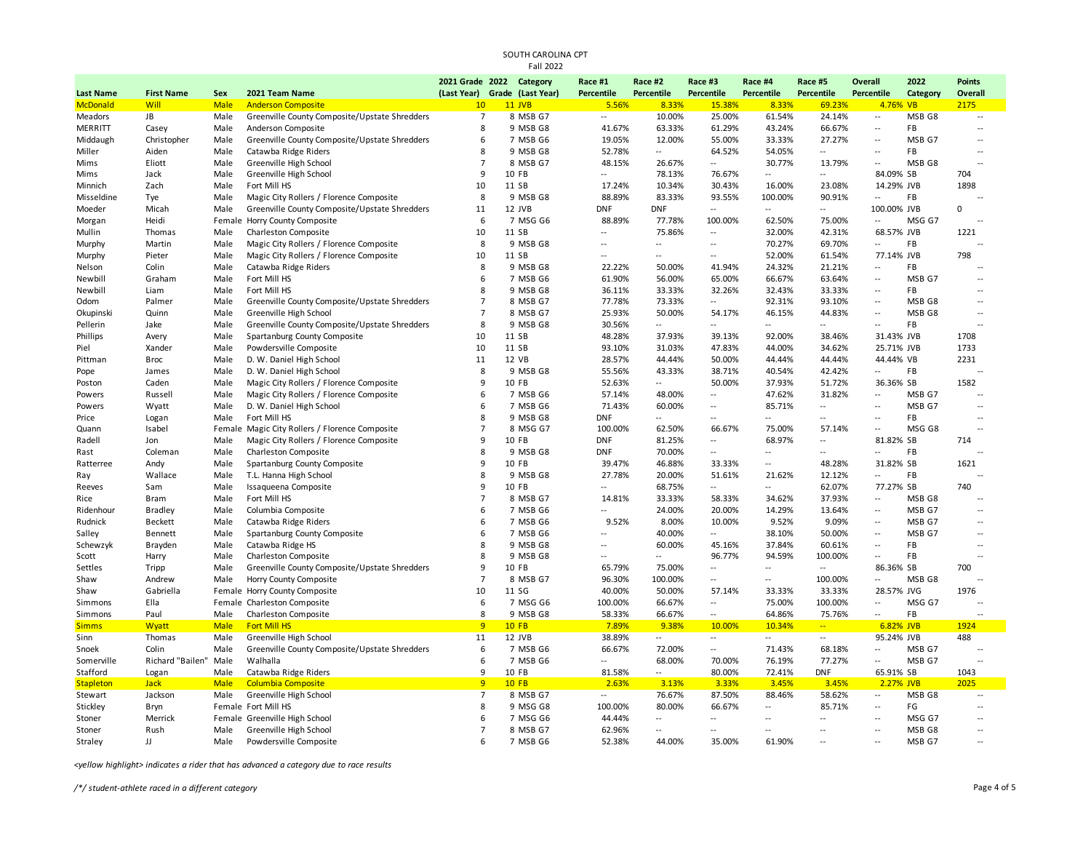|                  |                       |                     |                                                              | 2021 Grade 2022 Category      |              | Race #1         | Race #2                  | Race #3                  | Race #4                            | Race #5                   | Overall                  | 2022     | <b>Points</b>            |
|------------------|-----------------------|---------------------|--------------------------------------------------------------|-------------------------------|--------------|-----------------|--------------------------|--------------------------|------------------------------------|---------------------------|--------------------------|----------|--------------------------|
| <b>Last Name</b> | <b>First Name</b>     | Sex                 | 2021 Team Name                                               | (Last Year) Grade (Last Year) |              | Percentile      | Percentile               | <b>Percentile</b>        | Percentile                         | Percentile                | Percentile               | Category | Overall                  |
| <b>McDonald</b>  | Will                  | Male                | <b>Anderson Composite</b>                                    | 10                            | $11$ JVB     | 5.56%           | 8.33%                    | 15.38%                   | 8.33%                              | 69.23%                    | 4.76% VB                 |          | 2175                     |
| Meadors          | JB                    | Male                | Greenville County Composite/Upstate Shredders                | $\overline{7}$                | 8 MSB G7     | --              | 10.00%                   | 25.00%                   | 61.54%                             | 24.14%                    | $\sim$                   | MSB G8   | $\overline{a}$           |
| <b>MERRITT</b>   | Casey                 | Male                | Anderson Composite                                           | 8                             | 9 MSB G8     | 41.67%          | 63.33%                   | 61.29%                   | 43.24%                             | 66.67%                    | $\sim$                   | FB       | $\overline{a}$           |
| Middaugh         | Christopher           | Male                | Greenville County Composite/Upstate Shredders                | 6                             | 7 MSB G6     | 19.05%          | 12.00%                   | 55.00%                   | 33.33%                             | 27.27%                    | $\sim$                   | MSB G7   | $\sim$                   |
| Miller           | Aiden                 | Male                | Catawba Ridge Riders                                         | $\mathbf{R}$                  | 9 MSB G8     | 52.78%          | $\overline{\phantom{a}}$ | 64.52%                   | 54.05%                             | $\sim$                    | $\sim$ $\sim$            | FB       | $\overline{a}$           |
| Mims             | Eliott                | Male                | Greenville High School                                       | $\overline{7}$                | 8 MSB G7     | 48.15%          | 26.67%                   | $\overline{a}$           | 30.77%                             | 13.79%                    | $\sim$ $\sim$            | MSB G8   | $\sim$                   |
| Mims             | Jack                  | Male                | Greenville High School                                       | 9                             | 10 FB        | Ξ.              | 78.13%                   | 76.67%                   | $\overline{\phantom{a}}$           | $\overline{a}$            | 84.09% SB                |          | 704                      |
| Minnich          | Zach                  | Male                | Fort Mill HS                                                 | 10                            | 11 SB        | 17.24%          | 10.34%                   | 30.43%                   | 16.00%                             | 23.08%                    | 14.29% JVB               |          | 1898                     |
| Misseldine       | Tye                   | Male                | Magic City Rollers / Florence Composite                      | 8                             | 9 MSB G8     | 88.89%          | 83.33%                   | 93.55%                   | 100.00%                            | 90.91%                    | $\overline{\phantom{a}}$ | FB       |                          |
| Moeder           | Micah                 | Male                | Greenville County Composite/Upstate Shredders                | 11                            | 12 JVB       | <b>DNF</b>      | <b>DNF</b>               | $\overline{a}$           | $\sim$                             | $\overline{\phantom{a}}$  | 100.00% JVB              |          | $\Omega$                 |
| Morgan           | Heidi                 |                     | Female Horry County Composite                                | 6                             | 7 MSG G6     | 88.89%          | 77.78%                   | 100.00%                  | 62.50%                             | 75.00%                    | $\mathbb{Z}^2$           | MSG G7   |                          |
| Mullin           | Thomas                | Male                | Charleston Composite                                         | 10                            | 11 SB        | Ξ.              | 75.86%                   | $\overline{\phantom{a}}$ | 32.00%                             | 42.31%                    | 68.57% JVB               |          | 1221                     |
| Murphy           | Martin                | Male                | Magic City Rollers / Florence Composite                      | 8                             | 9 MSB G8     | $\overline{a}$  | $\sim$ $\sim$            | Ξ.                       | 70.27%                             | 69.70%                    | $\sim$                   | FB       |                          |
| Murphy           | Pieter                | Male                | Magic City Rollers / Florence Composite                      | 10                            | 11 SB        | Ξ.              | --                       | $\overline{a}$           | 52.00%                             | 61.54%                    | 77.14% JVB               |          | 798                      |
| Nelson           | Colin                 | Male                | Catawba Ridge Riders                                         | 8                             | 9 MSB G8     | 22.22%          | 50.00%                   | 41.94%                   | 24.32%                             | 21.21%                    | $\sim$                   | FB       |                          |
| Newbill          | Graham                | Male                | Fort Mill HS                                                 | 6                             | 7 MSB G6     | 61.90%          | 56.00%                   | 65.00%                   | 66.67%                             | 63.64%                    | $\overline{a}$           | MSB G7   | ÷.                       |
| Newbill          | Liam                  | Male                | Fort Mill HS                                                 | 8                             | 9 MSB G8     | 36.11%          | 33.33%                   | 32.26%                   | 32.43%                             | 33.33%                    | $\sim$                   | FB       | $\sim$                   |
| Odom             | Palmer                | Male                | Greenville County Composite/Upstate Shredders                | $\overline{7}$                | 8 MSB G7     | 77.78%          | 73.33%                   | Щ.                       | 92.31%                             | 93.10%                    | $\overline{\phantom{a}}$ | MSB G8   | $\overline{a}$           |
| Okupinski        | Quinn                 | Male                | Greenville High School                                       | $\overline{7}$                | 8 MSB G7     | 25.93%          | 50.00%                   | 54.17%                   | 46.15%                             | 44.83%                    | $\overline{\phantom{a}}$ | MSB G8   | $\overline{a}$           |
| Pellerin         | Jake                  | Male                | Greenville County Composite/Upstate Shredders                | 8                             | 9 MSB G8     | 30.56%          | $\overline{\phantom{a}}$ | $\overline{a}$           | $-$                                | $\sim$                    | $\sim$ $\sim$            | FB       | $\overline{\phantom{a}}$ |
| Phillips         | Avery                 | Male                | Spartanburg County Composite                                 | 10                            | 11 SB        | 48.28%          | 37.93%                   | 39.13%                   | 92.00%                             | 38.46%                    | 31.43% JVB               |          | 1708                     |
| Piel             | Xander                | Male                | Powdersville Composite                                       | 10                            | 11 SB        | 93.10%          | 31.03%                   | 47.83%                   | 44.00%                             | 34.62%                    | 25.71% JVB               |          | 1733                     |
| Pittman          | <b>Broc</b>           | Male                | D. W. Daniel High School                                     | 11                            | 12 VB        | 28.57%          | 44.44%                   | 50.00%                   | 44.44%                             | 44.44%                    | 44.44% VB                |          | 2231                     |
| Pope             | James                 | Male                | D. W. Daniel High School                                     | 8                             | 9 MSB G8     | 55.56%          | 43.33%                   | 38.71%                   | 40.54%                             | 42.42%                    | $\overline{\phantom{a}}$ | FB       |                          |
| Poston           | Caden                 | Male                | Magic City Rollers / Florence Composite                      | q                             | 10 FB        | 52.63%          | $\sim$                   | 50.00%                   | 37.93%                             | 51.72%                    | 36.36% SB                |          | 1582                     |
| Powers           | Russell               | Male                | Magic City Rollers / Florence Composite                      | 6                             | 7 MSB G6     | 57.14%          | 48.00%                   | $\overline{a}$           | 47.62%                             | 31.82%                    | $\sim$                   | MSB G7   | ш.                       |
| Powers           | Wyatt                 | Male                | D. W. Daniel High School                                     | 6                             | 7 MSB G6     | 71.43%          | 60.00%                   | $-$                      | 85.71%                             | $\sim$                    | $\overline{\phantom{a}}$ | MSB G7   | $\sim$                   |
| Price            | Logan                 | Male                | Fort Mill HS                                                 | $\mathbf{R}$                  | 9 MSB G8     | <b>DNF</b>      | ÷.                       | $\overline{a}$           | $\overline{\phantom{a}}$           | $\sim$                    | $\overline{a}$           | FB       | $\sim$                   |
| Quann            | Isabel                |                     | Female Magic City Rollers / Florence Composite               | $\overline{7}$                | 8 MSG G7     | 100.00%         | 62.50%                   | 66.67%                   | 75.00%                             | 57.14%                    | $\overline{a}$           | MSG G8   | ÷.                       |
| Radell           | Jon                   | Male                | Magic City Rollers / Florence Composite                      | 9                             | 10 FB        | <b>DNF</b>      | 81.25%                   | ÷.                       | 68.97%                             | Ξ.                        | 81.82% SB                |          | 714                      |
| Rast             | Coleman               | Male                | Charleston Composite                                         | 8                             | 9 MSB G8     | <b>DNF</b>      | 70.00%                   | Ξ.                       | $\overline{a}$                     | $\ddotsc$                 | $\overline{\phantom{a}}$ | FB       |                          |
| Ratterree        | Andy                  | Male                | Spartanburg County Composite                                 | q                             | 10 FB        | 39.47%          | 46.88%                   | 33.33%                   | $\sim$                             | 48.28%                    | 31.82% SB                |          | 1621                     |
| Ray              | Wallace               | Male                | T.L. Hanna High School                                       | 8                             | 9 MSB G8     | 27.78%          | 20.00%                   | 51.61%                   | 21.62%                             | 12.12%                    | $\overline{a}$           | FB       |                          |
| Reeves           | Sam                   | Male                | Issaqueena Composite                                         | $\mathbf{q}$                  | 10 FB        | Ξ.              | 68.75%                   | $\overline{a}$           | $\sim$ $\sim$                      | 62.07%                    | 77.27% SB                |          | 740                      |
| Rice             | <b>Bram</b>           | Male                | Fort Mill HS                                                 | $\overline{7}$                | 8 MSB G7     | 14.81%          | 33.33%                   | 58.33%                   | 34.62%                             | 37.93%                    | $\sim$                   | MSB G8   | ÷.                       |
| Ridenhour        | Bradley               | Male                | Columbia Composite                                           | 6                             | 7 MSB G6     | --              | 24.00%                   | 20.00%                   | 14.29%                             | 13.64%                    | $\sim$                   | MSB G7   | $\sim$                   |
| Rudnick          | Beckett               | Male                | Catawba Ridge Riders                                         | 6                             | 7 MSB G6     | 9.52%           | 8.00%                    | 10.00%                   | 9.52%                              | 9.09%                     | $\overline{\phantom{a}}$ | MSB G7   | ÷.                       |
| Salley           | Bennett               | Male                | Spartanburg County Composite                                 | 6                             | 7 MSB G6     | $\overline{a}$  | 40.00%                   | Щ,                       | 38.10%                             | 50.00%                    | $\overline{\phantom{a}}$ | MSB G7   | $\overline{a}$           |
| Schewzyk         | Brayden               | Male                | Catawba Ridge HS                                             | $\mathbf{R}$                  | 9 MSB G8     | Ξ.              | 60.00%                   | 45.16%                   | 37.84%                             | 60.61%                    | $\overline{\phantom{a}}$ | FB       | $\overline{\phantom{a}}$ |
| Scott            | Harry                 | Male                | Charleston Composite                                         | 8                             | 9 MSB G8     | $\overline{a}$  | $\overline{a}$           | 96.77%                   | 94.59%                             | 100.00%                   | $\overline{\phantom{a}}$ | FB       |                          |
| Settles          | Tripp                 | Male                | Greenville County Composite/Upstate Shredders                | 9                             | 10 FB        | 65.79%          | 75.00%                   | $\overline{a}$           | $\sim$                             | $\overline{\phantom{a}}$  | 86.36% SB                |          | 700                      |
| Shaw             | Andrew                | Male                | Horry County Composite                                       | $\overline{7}$                | 8 MSB G7     | 96.30%          | 100.00%                  | $\overline{a}$           | $\overline{a}$                     | 100.00%                   | $\sim$                   | MSB G8   | $\sim$                   |
| Shaw             | Gabriella             |                     |                                                              | 10                            | 11 SG        | 40.00%          | 50.00%                   | 57.14%                   | 33.33%                             | 33.33%                    | 28.57% JVG               |          | 1976                     |
| Simmons          | Ella                  |                     | Female Horry County Composite<br>Female Charleston Composite | 6                             | 7 MSG G6     | 100.00%         | 66.67%                   | ÷.                       | 75.00%                             | 100.00%                   | $\overline{\phantom{a}}$ | MSG G7   |                          |
|                  |                       |                     |                                                              | 8                             | 9 MSB G8     | 58.33%          | 66.67%                   | ÷.                       | 64.86%                             | 75.76%                    | $\overline{\phantom{a}}$ | FB       |                          |
| Simmons          | Paul                  | Male                | Charleston Composite<br><b>Fort Mill HS</b>                  | 9                             | <b>10 FB</b> |                 | 9.38%                    | 10.00%                   |                                    | $\frac{1}{2}$             |                          |          |                          |
| <b>Simms</b>     | Wyatt<br>Thomas       | <b>Male</b><br>Male | Greenville High School                                       | 11                            | 12 JVB       | 7.89%<br>38.89% | $\overline{\phantom{a}}$ | ÷.                       | 10.34%<br>$\overline{\phantom{a}}$ | $\mathbb{L}^{\mathbb{L}}$ | 6.82% JVB<br>95.24% JVB  |          | 1924<br>488              |
| Sinn             |                       |                     |                                                              | 6                             |              |                 |                          |                          |                                    |                           | $\sim$ $\sim$            |          | $\overline{\phantom{a}}$ |
| Snoek            | Colin                 | Male                | Greenville County Composite/Upstate Shredders                | 6                             | 7 MSB G6     | 66.67%          | 72.00%                   | --                       | 71.43%                             | 68.18%                    | $\overline{a}$           | MSB G7   |                          |
| Somerville       | Richard "Bailen" Male |                     | Walhalla                                                     |                               | 7 MSB G6     | Ξ.              | 68.00%                   | 70.00%                   | 76.19%                             | 77.27%                    |                          | MSB G7   | $\overline{a}$           |
| Stafford         | Logan                 | Male                | Catawba Ridge Riders                                         | 9                             | 10 FB        | 81.58%          | Щ.                       | 80.00%                   | 72.41%                             | <b>DNF</b>                | 65.91% SB                |          | 1043                     |
| <b>Stapleton</b> | <b>Jack</b>           | Male                | Columbia Composite                                           | 9                             | <b>10 FB</b> | 2.63%           | 3.13%                    | 3.33%                    | 3.45%                              | 3.45%                     | 2.27% JVB                |          | 2025                     |
| Stewart          | Jackson               | Male                | Greenville High School                                       | $\overline{7}$                | 8 MSB G7     | $\sim$          | 76.67%                   | 87.50%                   | 88.46%                             | 58.62%                    | $\overline{\phantom{a}}$ | MSB G8   | $\sim$                   |
| Stickley         | Bryn                  |                     | Female Fort Mill HS                                          | 8                             | 9 MSG G8     | 100.00%         | 80.00%                   | 66.67%<br>$\sim$         | $\overline{\phantom{a}}$           | 85.71%<br>$\sim$          | $\overline{\phantom{a}}$ | FG       | $\sim$                   |
| Stoner           | Merrick               |                     | Female Greenville High School                                | 6                             | 7 MSG G6     | 44.44%          | $\sim$                   |                          | $\overline{\phantom{a}}$           |                           | $\sim$ $\sim$            | MSG G7   | $\sim$                   |
| Stoner           | Rush                  | Male                | Greenville High School                                       | $\overline{7}$                | 8 MSB G7     | 62.96%          | $\sim$                   | $\overline{a}$           | $\sim$ $\sim$                      | $\overline{a}$            | $\overline{a}$           | MSB G8   | $\overline{a}$           |
| Straley          | IJ                    | Male                | Powdersville Composite                                       | 6                             | 7 MSB G6     | 52.38%          | 44.00%                   | 35.00%                   | 61.90%                             | $\sim$                    | $\sim$                   | MSB G7   | $\sim$                   |